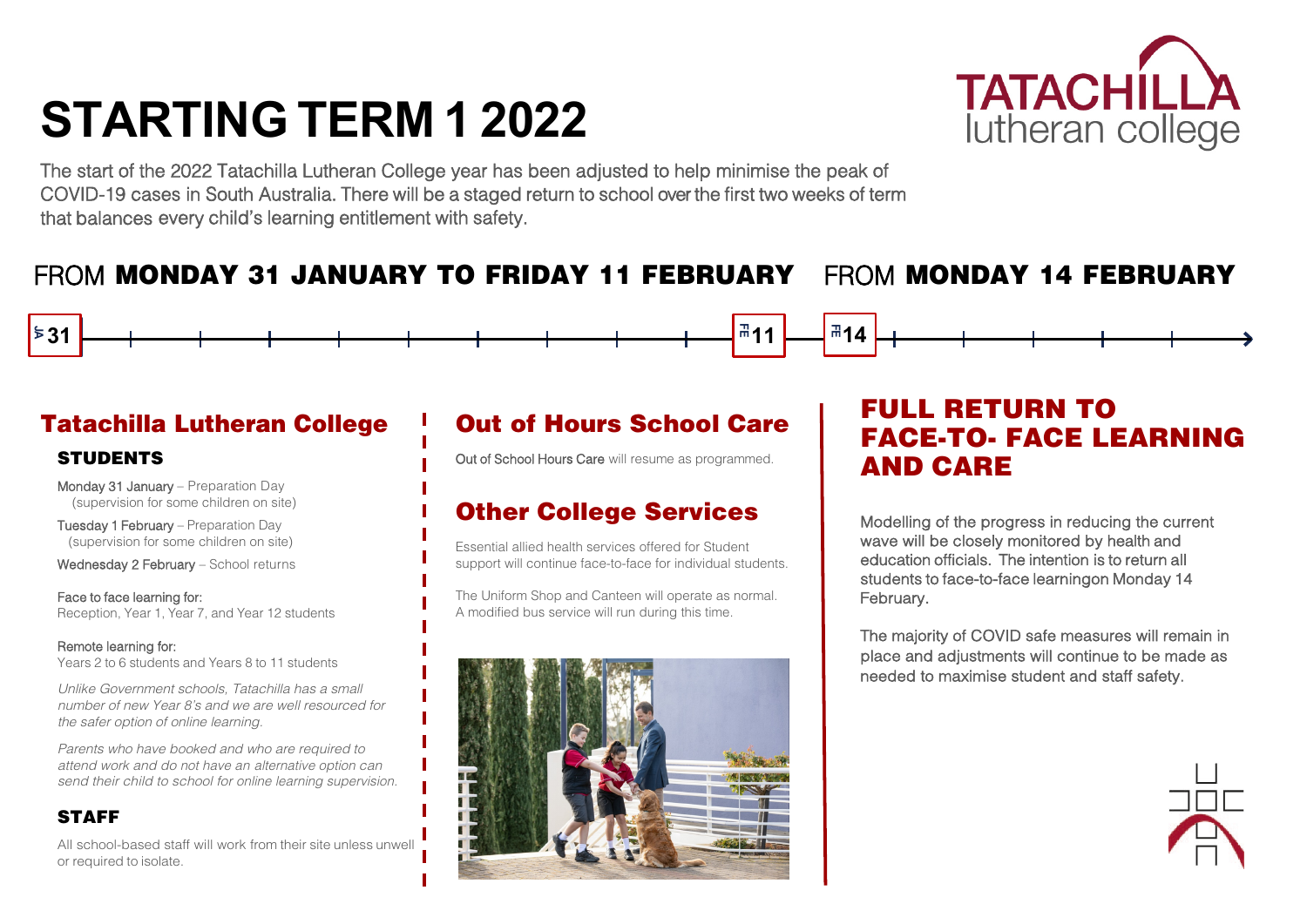# **STARTING TERM 1 2022**

The start of the 2022 Tatachilla Lutheran College year has been adjusted to help minimise the peak of COVID-19 cases in South Australia. There will be a staged return to school over the first two weeks of term that balances every child's learning entitlement with safety.

### Tatachilla Lutheran College **STUDENTS**

# FROM MONDAY 31 JANUARY TO FRIDAY 11 FEBRUARY FROM MONDAY 14 FEBRUARY

Monday 31 January – Preparation Day (supervision for some children on site)

Tuesday 1 February – Preparation Day (supervision for some children on site)

Wednesday 2 February - School returns

Face to face learning for: Reception, Year 1, Year 7, and Year 12 students

#### Remote learning for:

l

Years 2 to 6 students and Years 8 to 11 students

*Unlike Government schools, Tatachilla has a small number of new Year 8's and we are well resourced for the safer option of online learning.*

*Parents who have booked and who are required to attend work and do not have an alternative option can send their child to school for online learning supervision.*

#### STAFF

All school-based staff will work from their site unless unwell or required to isolate.

## Out of Hours School Care

Out of School Hours Care will resume as programmed.

### Other College Services

Essential allied health services offered for Student support will continue face-to-face for individual students.

The Uniform Shop and Canteen will operate as normal. A modified bus service will run during this time.



## FULL RETURN TO FACE-TO- FACE LEARNING AND CARE

Modelling of the progress in reducing the current wave will be closely monitored by health and education officials. The intention is to return all students to face-to-face learning on Monday 14 February.

The majority of COVID safe measures will remain in place and adjustments will continue to be made as needed to maximise student and staff safety.







**JA 31 11 14 JAFEFE**